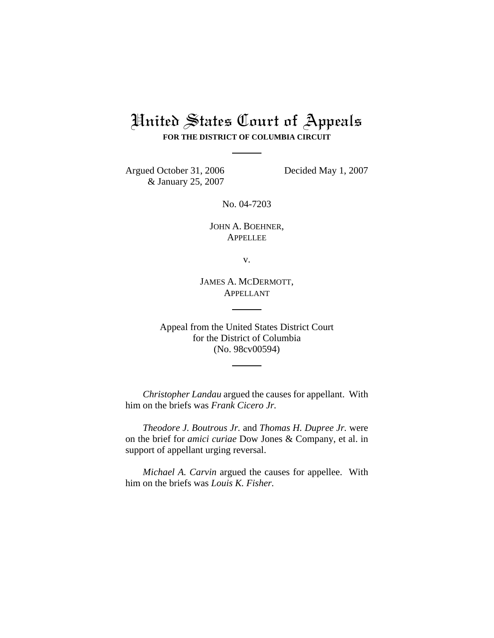## United States Court of Appeals **FOR THE DISTRICT OF COLUMBIA CIRCUIT**

Argued October 31, 2006 Decided May 1, 2007 & January 25, 2007

No. 04-7203

JOHN A. BOEHNER, APPELLEE

v.

JAMES A. MCDERMOTT, APPELLANT

Appeal from the United States District Court for the District of Columbia (No. 98cv00594)

*Christopher Landau* argued the causes for appellant. With him on the briefs was *Frank Cicero Jr.*

*Theodore J. Boutrous Jr.* and *Thomas H. Dupree Jr.* were on the brief for *amici curiae* Dow Jones & Company, et al. in support of appellant urging reversal.

*Michael A. Carvin* argued the causes for appellee. With him on the briefs was *Louis K. Fisher.*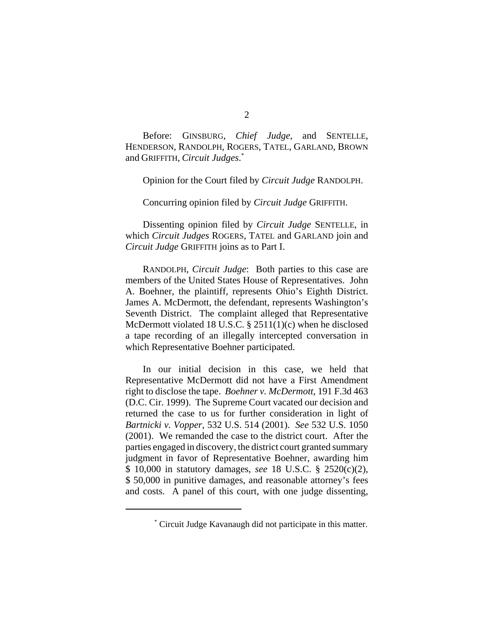Before: GINSBURG, *Chief Judge*, and SENTELLE, HENDERSON, RANDOLPH, ROGERS, TATEL, GARLAND, BROWN and GRIFFITH, *Circuit Judges*. \*

Opinion for the Court filed by *Circuit Judge* RANDOLPH.

Concurring opinion filed by *Circuit Judge* GRIFFITH.

Dissenting opinion filed by *Circuit Judge* SENTELLE, in which *Circuit Judges* ROGERS, TATEL and GARLAND join and *Circuit Judge* GRIFFITH joins as to Part I.

RANDOLPH, *Circuit Judge*: Both parties to this case are members of the United States House of Representatives. John A. Boehner, the plaintiff, represents Ohio's Eighth District. James A. McDermott, the defendant, represents Washington's Seventh District. The complaint alleged that Representative McDermott violated 18 U.S.C. § 2511(1)(c) when he disclosed a tape recording of an illegally intercepted conversation in which Representative Boehner participated.

In our initial decision in this case, we held that Representative McDermott did not have a First Amendment right to disclose the tape. *Boehner v. McDermott*, 191 F.3d 463 (D.C. Cir. 1999). The Supreme Court vacated our decision and returned the case to us for further consideration in light of *Bartnicki v. Vopper*, 532 U.S. 514 (2001). *See* 532 U.S. 1050 (2001). We remanded the case to the district court. After the parties engaged in discovery, the district court granted summary judgment in favor of Representative Boehner, awarding him \$ 10,000 in statutory damages, *see* 18 U.S.C. § 2520(c)(2), \$ 50,000 in punitive damages, and reasonable attorney's fees and costs. A panel of this court, with one judge dissenting,

<sup>\*</sup> Circuit Judge Kavanaugh did not participate in this matter.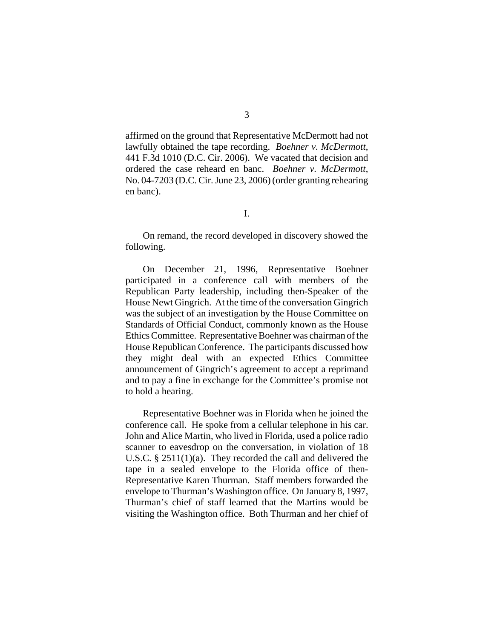affirmed on the ground that Representative McDermott had not lawfully obtained the tape recording. *Boehner v. McDermott*, 441 F.3d 1010 (D.C. Cir. 2006). We vacated that decision and ordered the case reheard en banc. *Boehner v. McDermott*, No. 04-7203 (D.C. Cir. June 23, 2006) (order granting rehearing en banc).

On remand, the record developed in discovery showed the following.

On December 21, 1996, Representative Boehner participated in a conference call with members of the Republican Party leadership, including then-Speaker of the House Newt Gingrich. At the time of the conversation Gingrich was the subject of an investigation by the House Committee on Standards of Official Conduct, commonly known as the House Ethics Committee. Representative Boehner was chairman of the House Republican Conference. The participants discussed how they might deal with an expected Ethics Committee announcement of Gingrich's agreement to accept a reprimand and to pay a fine in exchange for the Committee's promise not to hold a hearing.

Representative Boehner was in Florida when he joined the conference call. He spoke from a cellular telephone in his car. John and Alice Martin, who lived in Florida, used a police radio scanner to eavesdrop on the conversation, in violation of 18 U.S.C. § 2511(1)(a). They recorded the call and delivered the tape in a sealed envelope to the Florida office of then-Representative Karen Thurman. Staff members forwarded the envelope to Thurman's Washington office. On January 8, 1997, Thurman's chief of staff learned that the Martins would be visiting the Washington office. Both Thurman and her chief of

I.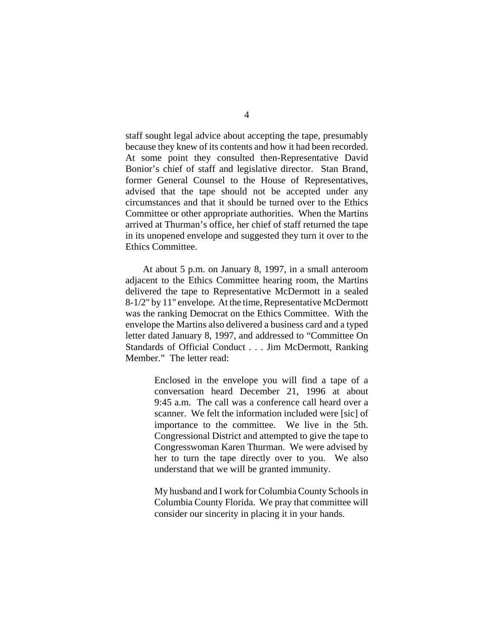staff sought legal advice about accepting the tape, presumably because they knew of its contents and how it had been recorded. At some point they consulted then-Representative David Bonior's chief of staff and legislative director. Stan Brand, former General Counsel to the House of Representatives, advised that the tape should not be accepted under any circumstances and that it should be turned over to the Ethics Committee or other appropriate authorities. When the Martins arrived at Thurman's office, her chief of staff returned the tape in its unopened envelope and suggested they turn it over to the Ethics Committee.

At about 5 p.m. on January 8, 1997, in a small anteroom adjacent to the Ethics Committee hearing room, the Martins delivered the tape to Representative McDermott in a sealed 8-1/2" by 11" envelope. At the time, Representative McDermott was the ranking Democrat on the Ethics Committee. With the envelope the Martins also delivered a business card and a typed letter dated January 8, 1997, and addressed to "Committee On Standards of Official Conduct . . . Jim McDermott, Ranking Member." The letter read:

> Enclosed in the envelope you will find a tape of a conversation heard December 21, 1996 at about 9:45 a.m. The call was a conference call heard over a scanner. We felt the information included were [sic] of importance to the committee. We live in the 5th. Congressional District and attempted to give the tape to Congresswoman Karen Thurman. We were advised by her to turn the tape directly over to you. We also understand that we will be granted immunity.

> My husband and I work for Columbia County Schools in Columbia County Florida. We pray that committee will consider our sincerity in placing it in your hands.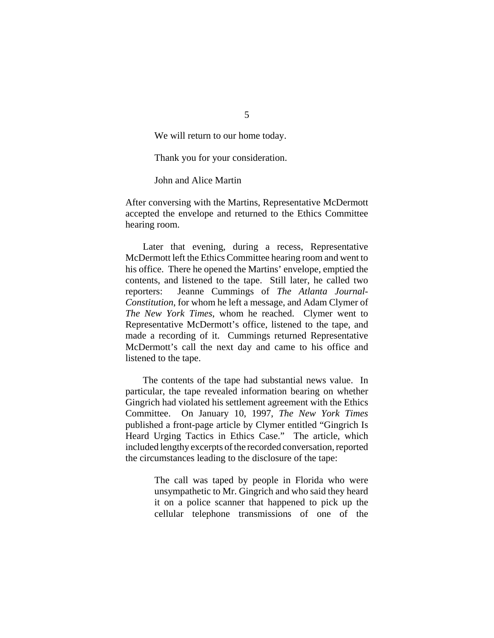We will return to our home today.

Thank you for your consideration.

John and Alice Martin

After conversing with the Martins, Representative McDermott accepted the envelope and returned to the Ethics Committee hearing room.

Later that evening, during a recess, Representative McDermott left the Ethics Committee hearing room and went to his office. There he opened the Martins' envelope, emptied the contents, and listened to the tape. Still later, he called two reporters: Jeanne Cummings of *The Atlanta Journal-Constitution*, for whom he left a message, and Adam Clymer of *The New York Times*, whom he reached. Clymer went to Representative McDermott's office, listened to the tape, and made a recording of it. Cummings returned Representative McDermott's call the next day and came to his office and listened to the tape.

The contents of the tape had substantial news value. In particular, the tape revealed information bearing on whether Gingrich had violated his settlement agreement with the Ethics Committee. On January 10, 1997, *The New York Times* published a front-page article by Clymer entitled "Gingrich Is Heard Urging Tactics in Ethics Case." The article, which included lengthy excerpts of the recorded conversation, reported the circumstances leading to the disclosure of the tape:

> The call was taped by people in Florida who were unsympathetic to Mr. Gingrich and who said they heard it on a police scanner that happened to pick up the cellular telephone transmissions of one of the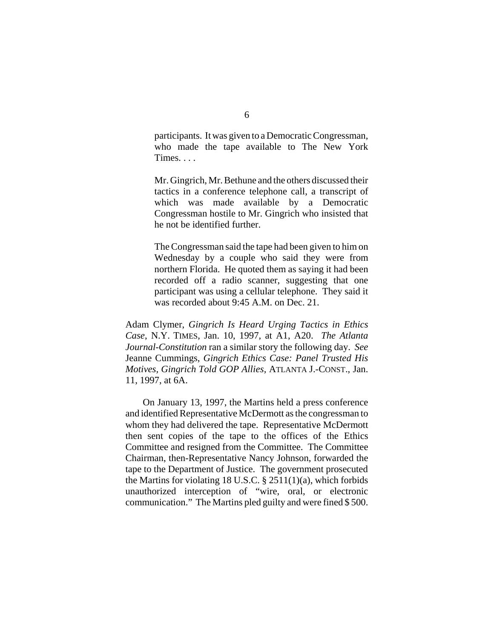participants. It was given to a Democratic Congressman, who made the tape available to The New York Times. . . .

Mr. Gingrich, Mr. Bethune and the others discussed their tactics in a conference telephone call, a transcript of which was made available by a Democratic Congressman hostile to Mr. Gingrich who insisted that he not be identified further.

The Congressman said the tape had been given to him on Wednesday by a couple who said they were from northern Florida. He quoted them as saying it had been recorded off a radio scanner, suggesting that one participant was using a cellular telephone. They said it was recorded about 9:45 A.M. on Dec. 21.

Adam Clymer, *Gingrich Is Heard Urging Tactics in Ethics Case*, N.Y. TIMES, Jan. 10, 1997, at A1, A20. *The Atlanta Journal-Constitution* ran a similar story the following day. *See* Jeanne Cummings, *Gingrich Ethics Case: Panel Trusted His Motives, Gingrich Told GOP Allies*, ATLANTA J.-CONST., Jan. 11, 1997, at 6A.

On January 13, 1997, the Martins held a press conference and identified Representative McDermott as the congressman to whom they had delivered the tape. Representative McDermott then sent copies of the tape to the offices of the Ethics Committee and resigned from the Committee. The Committee Chairman, then-Representative Nancy Johnson, forwarded the tape to the Department of Justice. The government prosecuted the Martins for violating 18 U.S.C. § 2511(1)(a), which forbids unauthorized interception of "wire, oral, or electronic communication." The Martins pled guilty and were fined \$ 500.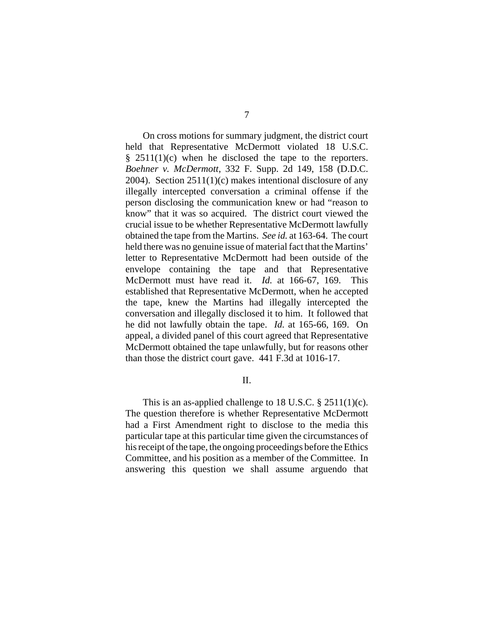On cross motions for summary judgment, the district court held that Representative McDermott violated 18 U.S.C.  $§$  2511(1)(c) when he disclosed the tape to the reporters. *Boehner v. McDermott*, 332 F. Supp. 2d 149, 158 (D.D.C. 2004). Section 2511(1)(c) makes intentional disclosure of any illegally intercepted conversation a criminal offense if the person disclosing the communication knew or had "reason to know" that it was so acquired. The district court viewed the crucial issue to be whether Representative McDermott lawfully obtained the tape from the Martins. *See id.* at 163-64. The court held there was no genuine issue of material fact that the Martins' letter to Representative McDermott had been outside of the envelope containing the tape and that Representative McDermott must have read it. *Id.* at 166-67, 169. This established that Representative McDermott, when he accepted the tape, knew the Martins had illegally intercepted the conversation and illegally disclosed it to him. It followed that he did not lawfully obtain the tape. *Id.* at 165-66, 169. On appeal, a divided panel of this court agreed that Representative McDermott obtained the tape unlawfully, but for reasons other than those the district court gave. 441 F.3d at 1016-17.

## II.

This is an as-applied challenge to 18 U.S.C.  $\S 2511(1)(c)$ . The question therefore is whether Representative McDermott had a First Amendment right to disclose to the media this particular tape at this particular time given the circumstances of his receipt of the tape, the ongoing proceedings before the Ethics Committee, and his position as a member of the Committee. In answering this question we shall assume arguendo that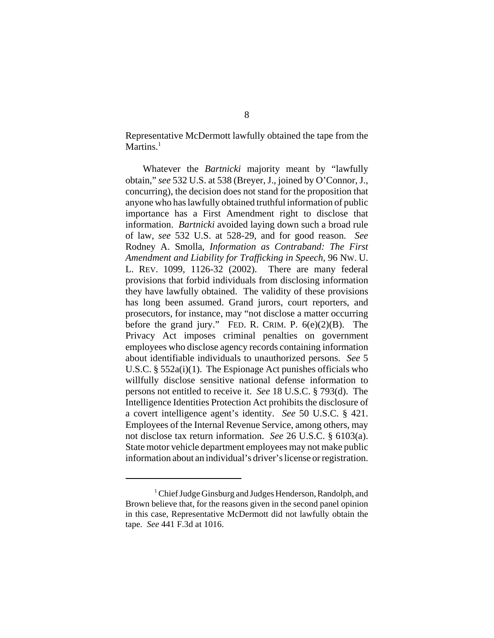Representative McDermott lawfully obtained the tape from the Martins. $<sup>1</sup>$ </sup>

Whatever the *Bartnicki* majority meant by "lawfully obtain," *see* 532 U.S. at 538 (Breyer, J., joined by O'Connor, J., concurring), the decision does not stand for the proposition that anyone who has lawfully obtained truthful information of public importance has a First Amendment right to disclose that information. *Bartnicki* avoided laying down such a broad rule of law, *see* 532 U.S. at 528-29, and for good reason. *See* Rodney A. Smolla, *Information as Contraband: The First Amendment and Liability for Trafficking in Speech*, 96 NW. U. L. REV. 1099, 1126-32 (2002). There are many federal provisions that forbid individuals from disclosing information they have lawfully obtained. The validity of these provisions has long been assumed. Grand jurors, court reporters, and prosecutors, for instance, may "not disclose a matter occurring before the grand jury." FED. R. CRIM. P.  $6(e)(2)(B)$ . The Privacy Act imposes criminal penalties on government employees who disclose agency records containing information about identifiable individuals to unauthorized persons. *See* 5 U.S.C. § 552a(i)(1). The Espionage Act punishes officials who willfully disclose sensitive national defense information to persons not entitled to receive it. *See* 18 U.S.C. § 793(d). The Intelligence Identities Protection Act prohibits the disclosure of a covert intelligence agent's identity. *See* 50 U.S.C. § 421. Employees of the Internal Revenue Service, among others, may not disclose tax return information. *See* 26 U.S.C. § 6103(a). State motor vehicle department employees may not make public information about an individual's driver's license or registration.

<sup>&</sup>lt;sup>1</sup> Chief Judge Ginsburg and Judges Henderson, Randolph, and Brown believe that, for the reasons given in the second panel opinion in this case, Representative McDermott did not lawfully obtain the tape. *See* 441 F.3d at 1016.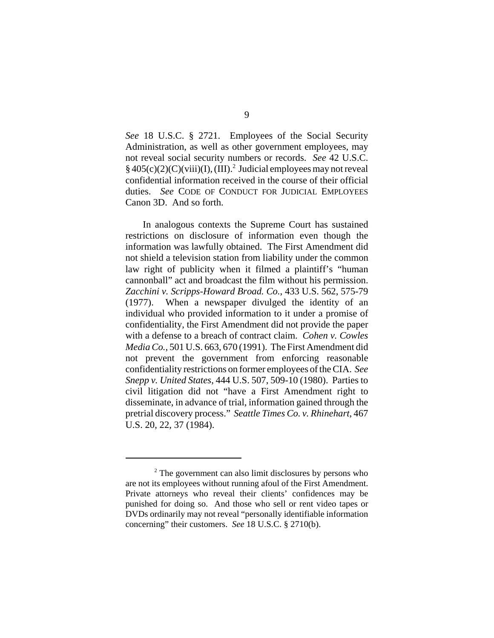*See* 18 U.S.C. § 2721. Employees of the Social Security Administration, as well as other government employees, may not reveal social security numbers or records. *See* 42 U.S.C.  $§$  405(c)(2)(C)(viii)(I), (III).<sup>2</sup> Judicial employees may not reveal confidential information received in the course of their official duties. *See* CODE OF CONDUCT FOR JUDICIAL EMPLOYEES Canon 3D. And so forth.

In analogous contexts the Supreme Court has sustained restrictions on disclosure of information even though the information was lawfully obtained. The First Amendment did not shield a television station from liability under the common law right of publicity when it filmed a plaintiff's "human cannonball" act and broadcast the film without his permission. *Zacchini v. Scripps-Howard Broad. Co.*, 433 U.S. 562, 575-79 (1977). When a newspaper divulged the identity of an individual who provided information to it under a promise of confidentiality, the First Amendment did not provide the paper with a defense to a breach of contract claim. *Cohen v. Cowles Media Co.*, 501 U.S. 663, 670 (1991). The First Amendment did not prevent the government from enforcing reasonable confidentiality restrictions on former employees of the CIA. *See Snepp v. United States*, 444 U.S. 507, 509-10 (1980). Parties to civil litigation did not "have a First Amendment right to disseminate, in advance of trial, information gained through the pretrial discovery process." *Seattle Times Co. v. Rhinehart*, 467 U.S. 20, 22, 37 (1984).

<sup>&</sup>lt;sup>2</sup> The government can also limit disclosures by persons who are not its employees without running afoul of the First Amendment. Private attorneys who reveal their clients' confidences may be punished for doing so. And those who sell or rent video tapes or DVDs ordinarily may not reveal "personally identifiable information concerning" their customers. *See* 18 U.S.C. § 2710(b).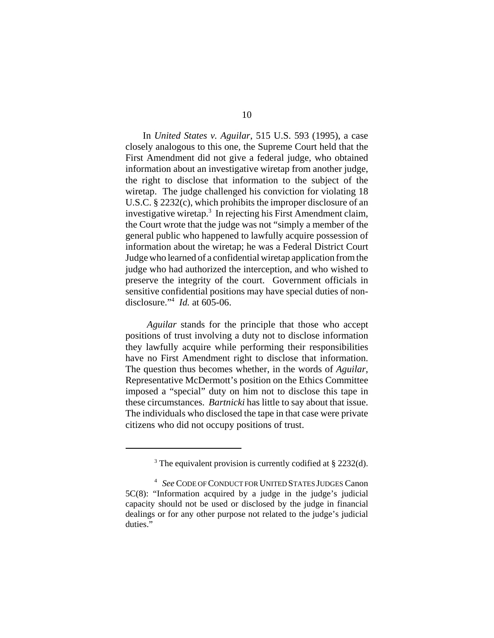In *United States v. Aguilar*, 515 U.S. 593 (1995), a case closely analogous to this one, the Supreme Court held that the First Amendment did not give a federal judge, who obtained information about an investigative wiretap from another judge, the right to disclose that information to the subject of the wiretap. The judge challenged his conviction for violating 18 U.S.C. § 2232(c), which prohibits the improper disclosure of an investigative wiretap.<sup>3</sup> In rejecting his First Amendment claim, the Court wrote that the judge was not "simply a member of the general public who happened to lawfully acquire possession of information about the wiretap; he was a Federal District Court Judge who learned of a confidential wiretap application from the judge who had authorized the interception, and who wished to preserve the integrity of the court. Government officials in sensitive confidential positions may have special duties of nondisclosure."4 *Id.* at 605-06.

*Aguilar* stands for the principle that those who accept positions of trust involving a duty not to disclose information they lawfully acquire while performing their responsibilities have no First Amendment right to disclose that information. The question thus becomes whether, in the words of *Aguilar*, Representative McDermott's position on the Ethics Committee imposed a "special" duty on him not to disclose this tape in these circumstances. *Bartnicki* has little to say about that issue. The individuals who disclosed the tape in that case were private citizens who did not occupy positions of trust.

<sup>&</sup>lt;sup>3</sup> The equivalent provision is currently codified at § 2232(d).

<sup>4</sup> *See* CODE OF CONDUCT FOR UNITED STATES JUDGES Canon 5C(8): "Information acquired by a judge in the judge's judicial capacity should not be used or disclosed by the judge in financial dealings or for any other purpose not related to the judge's judicial duties."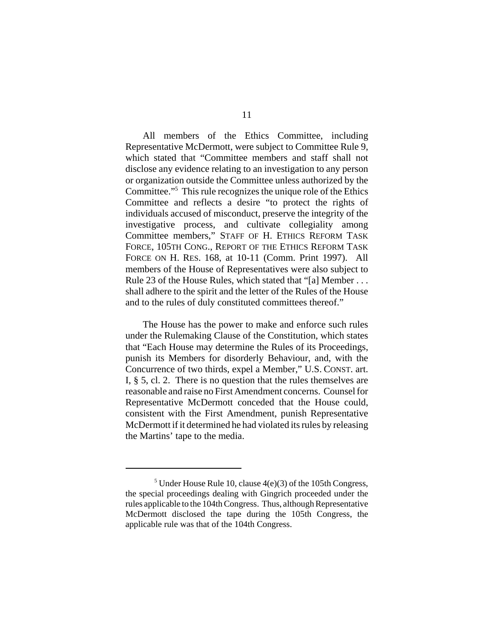All members of the Ethics Committee, including Representative McDermott, were subject to Committee Rule 9, which stated that "Committee members and staff shall not disclose any evidence relating to an investigation to any person or organization outside the Committee unless authorized by the Committee."5 This rule recognizes the unique role of the Ethics Committee and reflects a desire "to protect the rights of individuals accused of misconduct, preserve the integrity of the investigative process, and cultivate collegiality among Committee members," STAFF OF H. ETHICS REFORM TASK FORCE, 105TH CONG., REPORT OF THE ETHICS REFORM TASK FORCE ON H. RES. 168, at 10-11 (Comm. Print 1997). All members of the House of Representatives were also subject to Rule 23 of the House Rules, which stated that "[a] Member . . . shall adhere to the spirit and the letter of the Rules of the House and to the rules of duly constituted committees thereof."

The House has the power to make and enforce such rules under the Rulemaking Clause of the Constitution, which states that "Each House may determine the Rules of its Proceedings, punish its Members for disorderly Behaviour, and, with the Concurrence of two thirds, expel a Member," U.S. CONST. art. I, § 5, cl. 2. There is no question that the rules themselves are reasonable and raise no First Amendment concerns. Counsel for Representative McDermott conceded that the House could, consistent with the First Amendment, punish Representative McDermott if it determined he had violated its rules by releasing the Martins' tape to the media.

<sup>&</sup>lt;sup>5</sup> Under House Rule 10, clause  $4(e)(3)$  of the 105th Congress, the special proceedings dealing with Gingrich proceeded under the rules applicable to the 104th Congress. Thus, although Representative McDermott disclosed the tape during the 105th Congress, the applicable rule was that of the 104th Congress.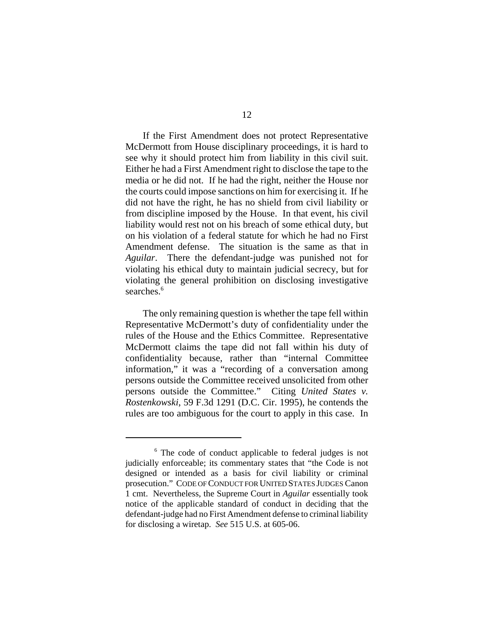If the First Amendment does not protect Representative McDermott from House disciplinary proceedings, it is hard to see why it should protect him from liability in this civil suit. Either he had a First Amendment right to disclose the tape to the media or he did not. If he had the right, neither the House nor the courts could impose sanctions on him for exercising it. If he did not have the right, he has no shield from civil liability or from discipline imposed by the House. In that event, his civil liability would rest not on his breach of some ethical duty, but on his violation of a federal statute for which he had no First Amendment defense. The situation is the same as that in *Aguilar*. There the defendant-judge was punished not for violating his ethical duty to maintain judicial secrecy, but for violating the general prohibition on disclosing investigative searches.<sup>6</sup>

The only remaining question is whether the tape fell within Representative McDermott's duty of confidentiality under the rules of the House and the Ethics Committee. Representative McDermott claims the tape did not fall within his duty of confidentiality because, rather than "internal Committee information," it was a "recording of a conversation among persons outside the Committee received unsolicited from other persons outside the Committee." Citing *United States v. Rostenkowski*, 59 F.3d 1291 (D.C. Cir. 1995), he contends the rules are too ambiguous for the court to apply in this case. In

<sup>&</sup>lt;sup>6</sup> The code of conduct applicable to federal judges is not judicially enforceable; its commentary states that "the Code is not designed or intended as a basis for civil liability or criminal prosecution." CODE OF CONDUCT FOR UNITED STATES JUDGES Canon 1 cmt. Nevertheless, the Supreme Court in *Aguilar* essentially took notice of the applicable standard of conduct in deciding that the defendant-judge had no First Amendment defense to criminal liability for disclosing a wiretap. *See* 515 U.S. at 605-06.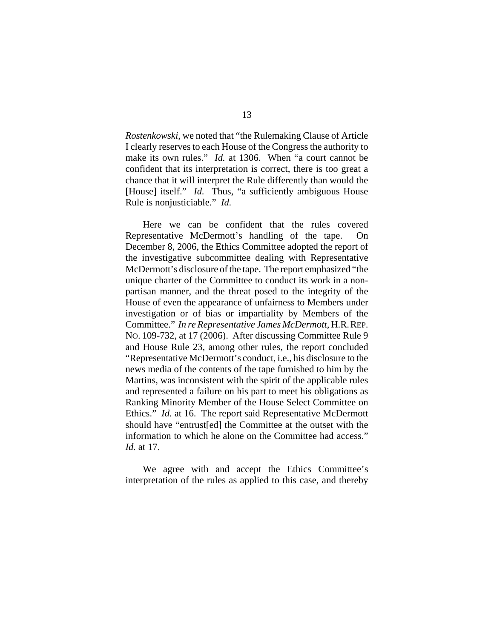*Rostenkowski*, we noted that "the Rulemaking Clause of Article I clearly reserves to each House of the Congress the authority to make its own rules." *Id.* at 1306. When "a court cannot be confident that its interpretation is correct, there is too great a chance that it will interpret the Rule differently than would the [House] itself." *Id.* Thus, "a sufficiently ambiguous House Rule is nonjusticiable." *Id.*

Here we can be confident that the rules covered Representative McDermott's handling of the tape. On December 8, 2006, the Ethics Committee adopted the report of the investigative subcommittee dealing with Representative McDermott's disclosure of the tape. The report emphasized "the unique charter of the Committee to conduct its work in a nonpartisan manner, and the threat posed to the integrity of the House of even the appearance of unfairness to Members under investigation or of bias or impartiality by Members of the Committee." *In re Representative James McDermott*, H.R.REP. NO. 109-732, at 17 (2006). After discussing Committee Rule 9 and House Rule 23, among other rules, the report concluded "Representative McDermott's conduct, i.e., his disclosure to the news media of the contents of the tape furnished to him by the Martins, was inconsistent with the spirit of the applicable rules and represented a failure on his part to meet his obligations as Ranking Minority Member of the House Select Committee on Ethics." *Id.* at 16. The report said Representative McDermott should have "entrust[ed] the Committee at the outset with the information to which he alone on the Committee had access." *Id.* at 17.

We agree with and accept the Ethics Committee's interpretation of the rules as applied to this case, and thereby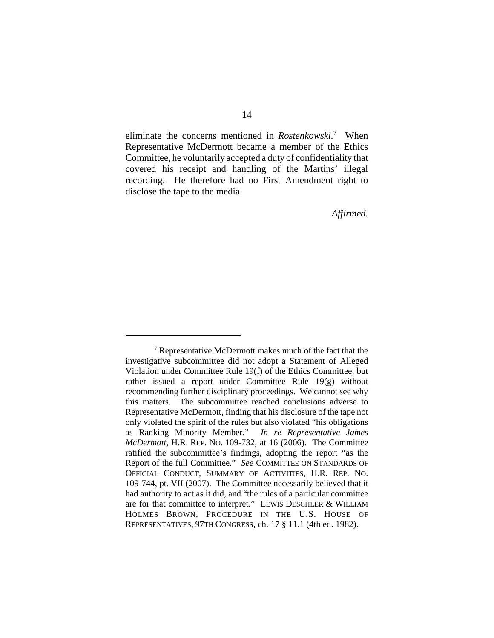eliminate the concerns mentioned in *Rostenkowski.*<sup>7</sup> When Representative McDermott became a member of the Ethics Committee, he voluntarily accepted a duty of confidentiality that covered his receipt and handling of the Martins' illegal recording. He therefore had no First Amendment right to disclose the tape to the media.

*Affirmed.*

<sup>&</sup>lt;sup>7</sup> Representative McDermott makes much of the fact that the investigative subcommittee did not adopt a Statement of Alleged Violation under Committee Rule 19(f) of the Ethics Committee, but rather issued a report under Committee Rule 19(g) without recommending further disciplinary proceedings. We cannot see why this matters. The subcommittee reached conclusions adverse to Representative McDermott, finding that his disclosure of the tape not only violated the spirit of the rules but also violated "his obligations as Ranking Minority Member." *In re Representative James McDermott*, H.R. REP. NO. 109-732, at 16 (2006). The Committee ratified the subcommittee's findings, adopting the report "as the Report of the full Committee." *See* COMMITTEE ON STANDARDS OF OFFICIAL CONDUCT, SUMMARY OF ACTIVITIES, H.R. REP. NO. 109-744, pt. VII (2007). The Committee necessarily believed that it had authority to act as it did, and "the rules of a particular committee are for that committee to interpret." LEWIS DESCHLER & WILLIAM HOLMES BROWN, PROCEDURE IN THE U.S. HOUSE OF REPRESENTATIVES, 97TH CONGRESS, ch. 17 § 11.1 (4th ed. 1982).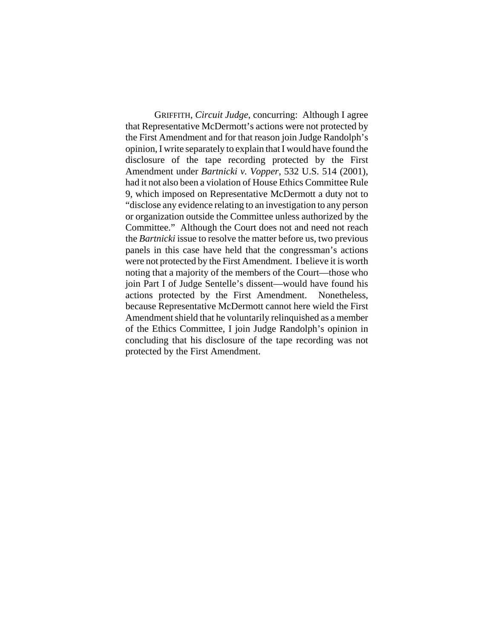GRIFFITH, *Circuit Judge*, concurring: Although I agree that Representative McDermott's actions were not protected by the First Amendment and for that reason join Judge Randolph's opinion, I write separately to explain that I would have found the disclosure of the tape recording protected by the First Amendment under *Bartnicki v. Vopper*, 532 U.S. 514 (2001), had it not also been a violation of House Ethics Committee Rule 9, which imposed on Representative McDermott a duty not to "disclose any evidence relating to an investigation to any person or organization outside the Committee unless authorized by the Committee." Although the Court does not and need not reach the *Bartnicki* issue to resolve the matter before us, two previous panels in this case have held that the congressman's actions were not protected by the First Amendment. I believe it is worth noting that a majority of the members of the Court—those who join Part I of Judge Sentelle's dissent—would have found his actions protected by the First Amendment. Nonetheless, because Representative McDermott cannot here wield the First Amendment shield that he voluntarily relinquished as a member of the Ethics Committee, I join Judge Randolph's opinion in concluding that his disclosure of the tape recording was not protected by the First Amendment.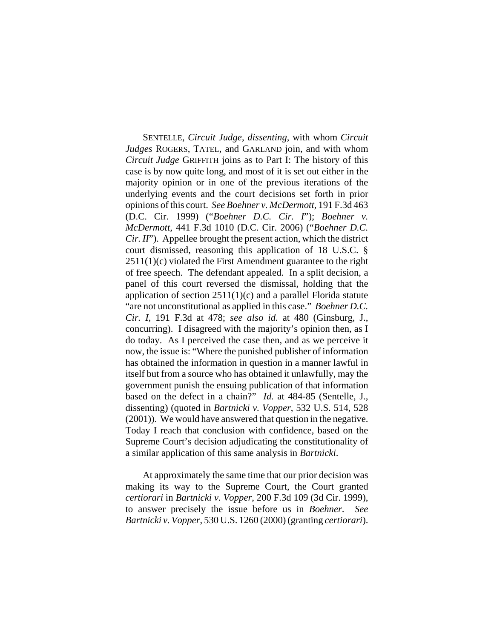SENTELLE, *Circuit Judge*, *dissenting*, with whom *Circuit Judges* ROGERS, TATEL, and GARLAND join, and with whom *Circuit Judge* GRIFFITH joins as to Part I: The history of this case is by now quite long, and most of it is set out either in the majority opinion or in one of the previous iterations of the underlying events and the court decisions set forth in prior opinions of this court. *See Boehner v. McDermott*, 191 F.3d 463 (D.C. Cir. 1999) ("*Boehner D.C. Cir. I*"); *Boehner v. McDermott*, 441 F.3d 1010 (D.C. Cir. 2006) ("*Boehner D.C. Cir. II*"). Appellee brought the present action, which the district court dismissed, reasoning this application of 18 U.S.C. §  $2511(1)(c)$  violated the First Amendment guarantee to the right of free speech. The defendant appealed. In a split decision, a panel of this court reversed the dismissal, holding that the application of section  $2511(1)(c)$  and a parallel Florida statute "are not unconstitutional as applied in this case." *Boehner D.C. Cir. I*, 191 F.3d at 478; *see also id.* at 480 (Ginsburg, J., concurring). I disagreed with the majority's opinion then, as I do today. As I perceived the case then, and as we perceive it now, the issue is: "Where the punished publisher of information has obtained the information in question in a manner lawful in itself but from a source who has obtained it unlawfully, may the government punish the ensuing publication of that information based on the defect in a chain?" *Id.* at 484-85 (Sentelle, J., dissenting) (quoted in *Bartnicki v. Vopper*, 532 U.S. 514, 528 (2001)). We would have answered that question in the negative. Today I reach that conclusion with confidence, based on the Supreme Court's decision adjudicating the constitutionality of a similar application of this same analysis in *Bartnicki*.

At approximately the same time that our prior decision was making its way to the Supreme Court, the Court granted *certiorari* in *Bartnicki v. Vopper*, 200 F.3d 109 (3d Cir. 1999), to answer precisely the issue before us in *Boehner*. *See Bartnicki v. Vopper*, 530 U.S. 1260 (2000) (granting *certiorari*).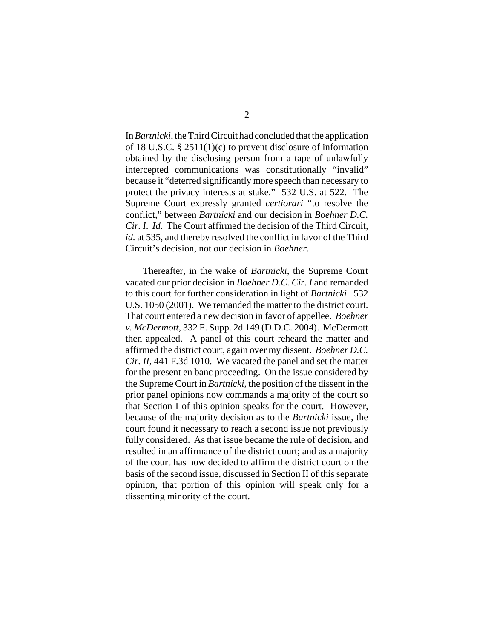In *Bartnicki*, the Third Circuit had concluded that the application of 18 U.S.C. § 2511(1)(c) to prevent disclosure of information obtained by the disclosing person from a tape of unlawfully intercepted communications was constitutionally "invalid" because it "deterred significantly more speech than necessary to protect the privacy interests at stake." 532 U.S. at 522. The Supreme Court expressly granted *certiorari* "to resolve the conflict," between *Bartnicki* and our decision in *Boehner D.C. Cir. I*. *Id.* The Court affirmed the decision of the Third Circuit, *id.* at 535, and thereby resolved the conflict in favor of the Third Circuit's decision, not our decision in *Boehner*.

Thereafter, in the wake of *Bartnicki*, the Supreme Court vacated our prior decision in *Boehner D.C. Cir. I* and remanded to this court for further consideration in light of *Bartnicki*. 532 U.S. 1050 (2001). We remanded the matter to the district court. That court entered a new decision in favor of appellee. *Boehner v. McDermott*, 332 F. Supp. 2d 149 (D.D.C. 2004). McDermott then appealed. A panel of this court reheard the matter and affirmed the district court, again over my dissent. *Boehner D.C. Cir. II*, 441 F.3d 1010. We vacated the panel and set the matter for the present en banc proceeding. On the issue considered by the Supreme Court in *Bartnicki*, the position of the dissent in the prior panel opinions now commands a majority of the court so that Section I of this opinion speaks for the court. However, because of the majority decision as to the *Bartnicki* issue, the court found it necessary to reach a second issue not previously fully considered. As that issue became the rule of decision, and resulted in an affirmance of the district court; and as a majority of the court has now decided to affirm the district court on the basis of the second issue, discussed in Section II of this separate opinion, that portion of this opinion will speak only for a dissenting minority of the court.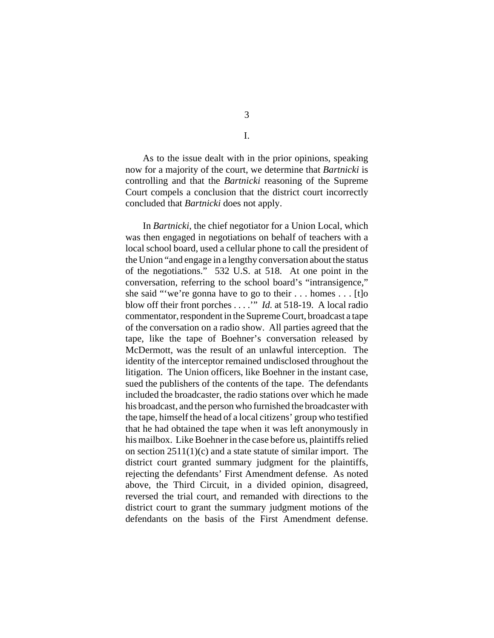As to the issue dealt with in the prior opinions, speaking now for a majority of the court, we determine that *Bartnicki* is controlling and that the *Bartnicki* reasoning of the Supreme Court compels a conclusion that the district court incorrectly concluded that *Bartnicki* does not apply.

In *Bartnicki*, the chief negotiator for a Union Local, which was then engaged in negotiations on behalf of teachers with a local school board, used a cellular phone to call the president of the Union "and engage in a lengthy conversation about the status of the negotiations." 532 U.S. at 518. At one point in the conversation, referring to the school board's "intransigence," she said "'we're gonna have to go to their . . . homes . . . [t]o blow off their front porches . . . .'" *Id.* at 518-19. A local radio commentator, respondent in the Supreme Court, broadcast a tape of the conversation on a radio show. All parties agreed that the tape, like the tape of Boehner's conversation released by McDermott, was the result of an unlawful interception. The identity of the interceptor remained undisclosed throughout the litigation. The Union officers, like Boehner in the instant case, sued the publishers of the contents of the tape. The defendants included the broadcaster, the radio stations over which he made his broadcast, and the person who furnished the broadcaster with the tape, himself the head of a local citizens' group who testified that he had obtained the tape when it was left anonymously in his mailbox. Like Boehner in the case before us, plaintiffs relied on section  $2511(1)(c)$  and a state statute of similar import. The district court granted summary judgment for the plaintiffs, rejecting the defendants' First Amendment defense. As noted above, the Third Circuit, in a divided opinion, disagreed, reversed the trial court, and remanded with directions to the district court to grant the summary judgment motions of the defendants on the basis of the First Amendment defense.

I.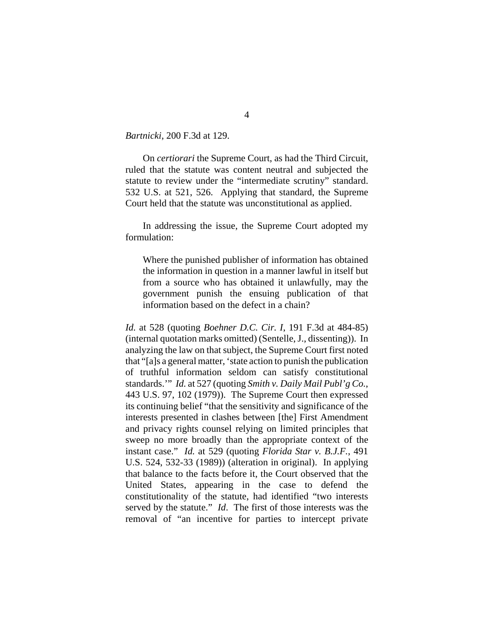*Bartnicki*, 200 F.3d at 129.

On *certiorari* the Supreme Court, as had the Third Circuit, ruled that the statute was content neutral and subjected the statute to review under the "intermediate scrutiny" standard. 532 U.S. at 521, 526. Applying that standard, the Supreme Court held that the statute was unconstitutional as applied.

In addressing the issue, the Supreme Court adopted my formulation:

Where the punished publisher of information has obtained the information in question in a manner lawful in itself but from a source who has obtained it unlawfully, may the government punish the ensuing publication of that information based on the defect in a chain?

*Id.* at 528 (quoting *Boehner D.C. Cir. I*, 191 F.3d at 484-85) (internal quotation marks omitted) (Sentelle, J., dissenting)). In analyzing the law on that subject, the Supreme Court first noted that "[a]s a general matter, 'state action to punish the publication of truthful information seldom can satisfy constitutional standards.'" *Id.* at 527 (quoting *Smith v. Daily Mail Publ'g Co.*, 443 U.S. 97, 102 (1979)). The Supreme Court then expressed its continuing belief "that the sensitivity and significance of the interests presented in clashes between [the] First Amendment and privacy rights counsel relying on limited principles that sweep no more broadly than the appropriate context of the instant case." *Id.* at 529 (quoting *Florida Star v. B.J.F.*, 491 U.S. 524, 532-33 (1989)) (alteration in original). In applying that balance to the facts before it, the Court observed that the United States, appearing in the case to defend the constitutionality of the statute, had identified "two interests served by the statute." *Id*. The first of those interests was the removal of "an incentive for parties to intercept private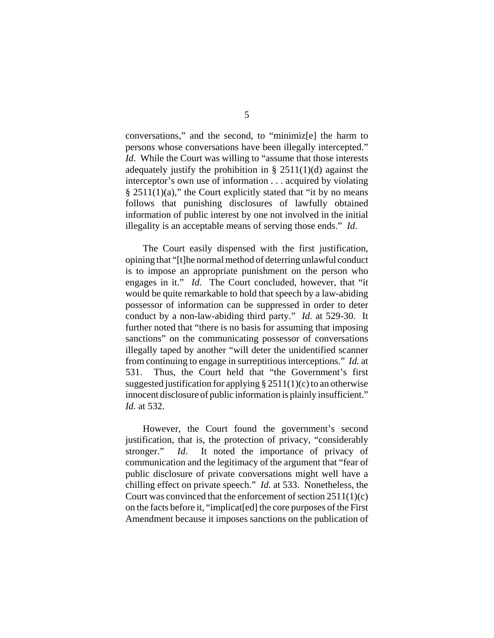conversations," and the second, to "minimiz[e] the harm to persons whose conversations have been illegally intercepted." *Id.* While the Court was willing to "assume that those interests" adequately justify the prohibition in  $\S$  2511(1)(d) against the interceptor's own use of information . . . acquired by violating  $§$  2511(1)(a)," the Court explicitly stated that "it by no means" follows that punishing disclosures of lawfully obtained information of public interest by one not involved in the initial illegality is an acceptable means of serving those ends." *Id*.

The Court easily dispensed with the first justification, opining that "[t]he normal method of deterring unlawful conduct is to impose an appropriate punishment on the person who engages in it." *Id.* The Court concluded, however, that "it would be quite remarkable to hold that speech by a law-abiding possessor of information can be suppressed in order to deter conduct by a non-law-abiding third party." *Id.* at 529-30. It further noted that "there is no basis for assuming that imposing sanctions" on the communicating possessor of conversations illegally taped by another "will deter the unidentified scanner from continuing to engage in surreptitious interceptions." *Id.* at 531. Thus, the Court held that "the Government's first suggested justification for applying  $\S 2511(1)(c)$  to an otherwise innocent disclosure of public information is plainly insufficient." *Id.* at 532.

However, the Court found the government's second justification, that is, the protection of privacy, "considerably stronger." *Id*. It noted the importance of privacy of communication and the legitimacy of the argument that "fear of public disclosure of private conversations might well have a chilling effect on private speech." *Id.* at 533. Nonetheless, the Court was convinced that the enforcement of section 2511(1)(c) on the facts before it, "implicat[ed] the core purposes of the First Amendment because it imposes sanctions on the publication of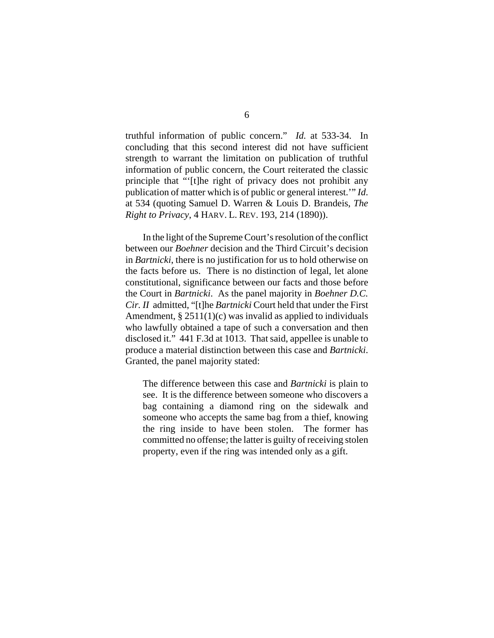truthful information of public concern." *Id.* at 533-34. In concluding that this second interest did not have sufficient strength to warrant the limitation on publication of truthful information of public concern, the Court reiterated the classic principle that "'[t]he right of privacy does not prohibit any publication of matter which is of public or general interest.'" *Id*. at 534 (quoting Samuel D. Warren & Louis D. Brandeis, *The Right to Privacy*, 4 HARV. L. REV. 193, 214 (1890)).

In the light of the Supreme Court's resolution of the conflict between our *Boehner* decision and the Third Circuit's decision in *Bartnicki*, there is no justification for us to hold otherwise on the facts before us. There is no distinction of legal, let alone constitutional, significance between our facts and those before the Court in *Bartnicki*. As the panel majority in *Boehner D.C. Cir. II* admitted, "[t]he *Bartnicki* Court held that under the First Amendment,  $\S 2511(1)(c)$  was invalid as applied to individuals who lawfully obtained a tape of such a conversation and then disclosed it." 441 F.3d at 1013. That said, appellee is unable to produce a material distinction between this case and *Bartnicki*. Granted, the panel majority stated:

The difference between this case and *Bartnicki* is plain to see. It is the difference between someone who discovers a bag containing a diamond ring on the sidewalk and someone who accepts the same bag from a thief, knowing the ring inside to have been stolen. The former has committed no offense; the latter is guilty of receiving stolen property, even if the ring was intended only as a gift.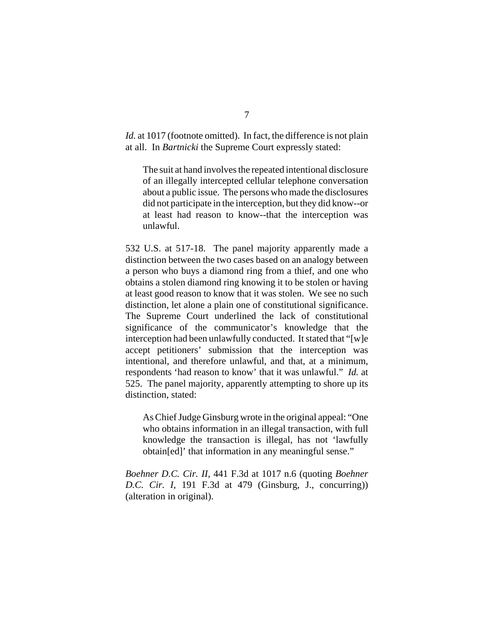*Id.* at 1017 (footnote omitted). In fact, the difference is not plain at all. In *Bartnicki* the Supreme Court expressly stated:

The suit at hand involves the repeated intentional disclosure of an illegally intercepted cellular telephone conversation about a public issue. The persons who made the disclosures did not participate in the interception, but they did know--or at least had reason to know--that the interception was unlawful.

532 U.S. at 517-18. The panel majority apparently made a distinction between the two cases based on an analogy between a person who buys a diamond ring from a thief, and one who obtains a stolen diamond ring knowing it to be stolen or having at least good reason to know that it was stolen. We see no such distinction, let alone a plain one of constitutional significance. The Supreme Court underlined the lack of constitutional significance of the communicator's knowledge that the interception had been unlawfully conducted. It stated that "[w]e accept petitioners' submission that the interception was intentional, and therefore unlawful, and that, at a minimum, respondents 'had reason to know' that it was unlawful." *Id.* at 525. The panel majority, apparently attempting to shore up its distinction, stated:

As Chief Judge Ginsburg wrote in the original appeal: "One who obtains information in an illegal transaction, with full knowledge the transaction is illegal, has not 'lawfully obtain[ed]' that information in any meaningful sense."

*Boehner D.C. Cir. II*, 441 F.3d at 1017 n.6 (quoting *Boehner D.C. Cir. I*, 191 F.3d at 479 (Ginsburg, J., concurring)) (alteration in original).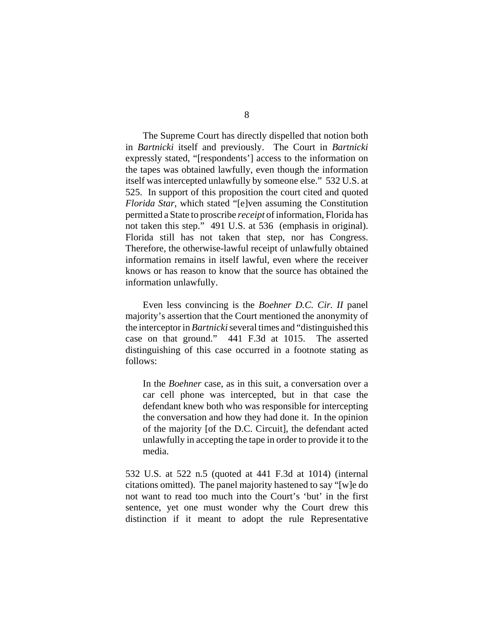The Supreme Court has directly dispelled that notion both in *Bartnicki* itself and previously. The Court in *Bartnicki* expressly stated, "[respondents'] access to the information on the tapes was obtained lawfully, even though the information itself was intercepted unlawfully by someone else." 532 U.S. at 525. In support of this proposition the court cited and quoted *Florida Star*, which stated "[e]ven assuming the Constitution permitted a State to proscribe *receipt* of information, Florida has not taken this step." 491 U.S. at 536 (emphasis in original). Florida still has not taken that step, nor has Congress. Therefore, the otherwise-lawful receipt of unlawfully obtained information remains in itself lawful, even where the receiver knows or has reason to know that the source has obtained the information unlawfully.

Even less convincing is the *Boehner D.C. Cir. II* panel majority's assertion that the Court mentioned the anonymity of the interceptor in *Bartnicki* several times and "distinguished this case on that ground." 441 F.3d at 1015. The asserted distinguishing of this case occurred in a footnote stating as follows:

In the *Boehner* case, as in this suit, a conversation over a car cell phone was intercepted, but in that case the defendant knew both who was responsible for intercepting the conversation and how they had done it. In the opinion of the majority [of the D.C. Circuit], the defendant acted unlawfully in accepting the tape in order to provide it to the media.

532 U.S. at 522 n.5 (quoted at 441 F.3d at 1014) (internal citations omitted). The panel majority hastened to say "[w]e do not want to read too much into the Court's 'but' in the first sentence, yet one must wonder why the Court drew this distinction if it meant to adopt the rule Representative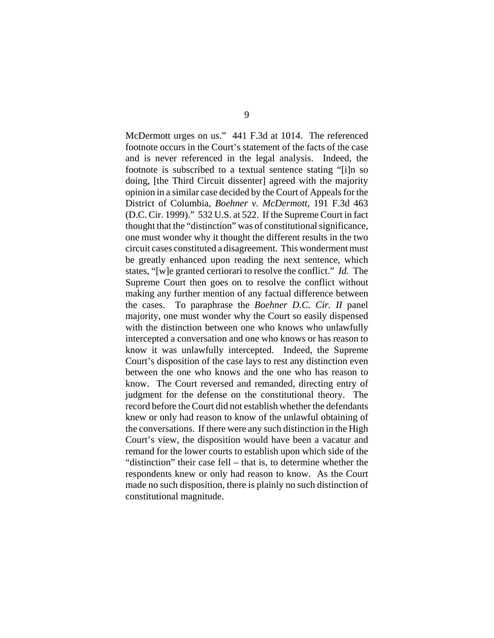McDermott urges on us." 441 F.3d at 1014. The referenced footnote occurs in the Court's statement of the facts of the case and is never referenced in the legal analysis. Indeed, the footnote is subscribed to a textual sentence stating "[i]n so doing, [the Third Circuit dissenter] agreed with the majority opinion in a similar case decided by the Court of Appeals for the District of Columbia, *Boehner v. McDermott*, 191 F.3d 463 (D.C. Cir. 1999)." 532 U.S. at 522. If the Supreme Court in fact thought that the "distinction" was of constitutional significance, one must wonder why it thought the different results in the two circuit cases constituted a disagreement. This wonderment must be greatly enhanced upon reading the next sentence, which states, "[w]e granted certiorari to resolve the conflict." *Id.* The Supreme Court then goes on to resolve the conflict without making any further mention of any factual difference between the cases. To paraphrase the *Boehner D.C. Cir. II* panel majority, one must wonder why the Court so easily dispensed with the distinction between one who knows who unlawfully intercepted a conversation and one who knows or has reason to know it was unlawfully intercepted. Indeed, the Supreme Court's disposition of the case lays to rest any distinction even between the one who knows and the one who has reason to know. The Court reversed and remanded, directing entry of judgment for the defense on the constitutional theory. The record before the Court did not establish whether the defendants knew or only had reason to know of the unlawful obtaining of the conversations. If there were any such distinction in the High Court's view, the disposition would have been a vacatur and remand for the lower courts to establish upon which side of the "distinction" their case fell – that is, to determine whether the respondents knew or only had reason to know. As the Court made no such disposition, there is plainly no such distinction of constitutional magnitude.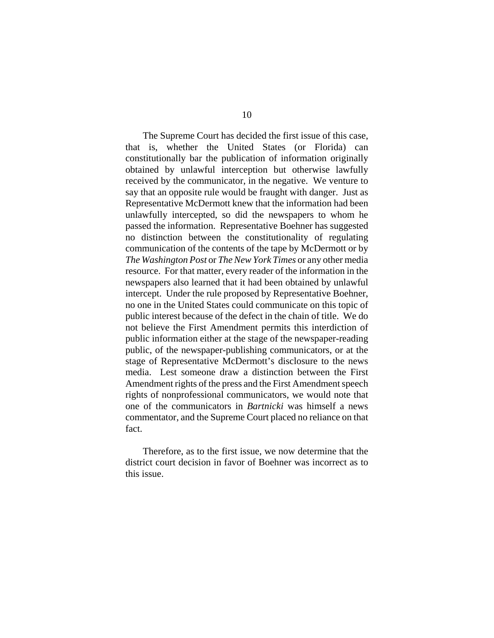The Supreme Court has decided the first issue of this case, that is, whether the United States (or Florida) can constitutionally bar the publication of information originally obtained by unlawful interception but otherwise lawfully received by the communicator, in the negative. We venture to say that an opposite rule would be fraught with danger. Just as Representative McDermott knew that the information had been unlawfully intercepted, so did the newspapers to whom he passed the information. Representative Boehner has suggested no distinction between the constitutionality of regulating communication of the contents of the tape by McDermott or by *The Washington Post* or *The New York Times* or any other media resource. For that matter, every reader of the information in the newspapers also learned that it had been obtained by unlawful intercept. Under the rule proposed by Representative Boehner, no one in the United States could communicate on this topic of public interest because of the defect in the chain of title. We do not believe the First Amendment permits this interdiction of public information either at the stage of the newspaper-reading public, of the newspaper-publishing communicators, or at the stage of Representative McDermott's disclosure to the news media. Lest someone draw a distinction between the First Amendment rights of the press and the First Amendment speech rights of nonprofessional communicators, we would note that one of the communicators in *Bartnicki* was himself a news commentator, and the Supreme Court placed no reliance on that fact.

Therefore, as to the first issue, we now determine that the district court decision in favor of Boehner was incorrect as to this issue.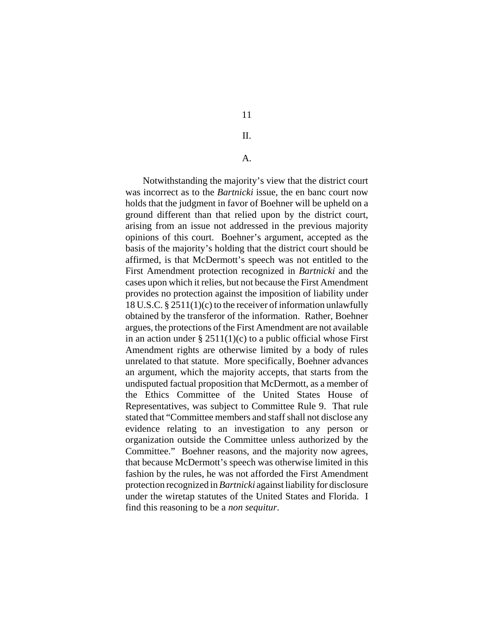II.

A.

Notwithstanding the majority's view that the district court was incorrect as to the *Bartnicki* issue, the en banc court now holds that the judgment in favor of Boehner will be upheld on a ground different than that relied upon by the district court, arising from an issue not addressed in the previous majority opinions of this court. Boehner's argument, accepted as the basis of the majority's holding that the district court should be affirmed, is that McDermott's speech was not entitled to the First Amendment protection recognized in *Bartnicki* and the cases upon which it relies, but not because the First Amendment provides no protection against the imposition of liability under 18 U.S.C. § 2511(1)(c) to the receiver of information unlawfully obtained by the transferor of the information. Rather, Boehner argues, the protections of the First Amendment are not available in an action under  $\S 2511(1)(c)$  to a public official whose First Amendment rights are otherwise limited by a body of rules unrelated to that statute. More specifically, Boehner advances an argument, which the majority accepts, that starts from the undisputed factual proposition that McDermott, as a member of the Ethics Committee of the United States House of Representatives, was subject to Committee Rule 9. That rule stated that "Committee members and staff shall not disclose any evidence relating to an investigation to any person or organization outside the Committee unless authorized by the Committee." Boehner reasons, and the majority now agrees, that because McDermott's speech was otherwise limited in this fashion by the rules, he was not afforded the First Amendment protection recognized in *Bartnicki* against liability for disclosure under the wiretap statutes of the United States and Florida. I find this reasoning to be a *non sequitur*.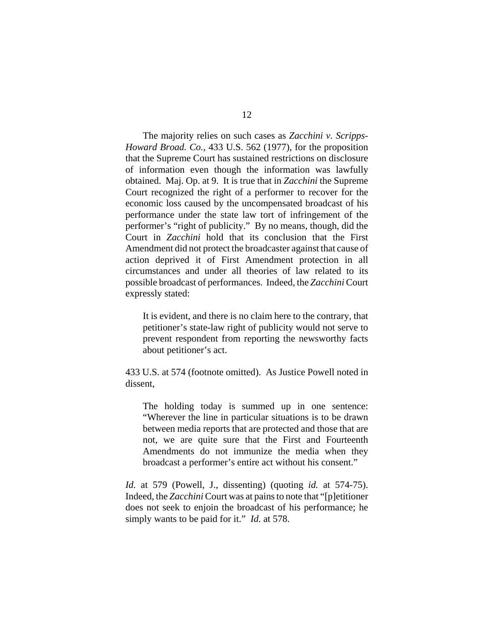The majority relies on such cases as *Zacchini v. Scripps-Howard Broad. Co.*, 433 U.S. 562 (1977), for the proposition that the Supreme Court has sustained restrictions on disclosure of information even though the information was lawfully obtained. Maj. Op. at 9. It is true that in *Zacchini* the Supreme Court recognized the right of a performer to recover for the economic loss caused by the uncompensated broadcast of his performance under the state law tort of infringement of the performer's "right of publicity." By no means, though, did the Court in *Zacchini* hold that its conclusion that the First Amendment did not protect the broadcaster against that cause of action deprived it of First Amendment protection in all circumstances and under all theories of law related to its possible broadcast of performances. Indeed, the *Zacchini* Court expressly stated:

It is evident, and there is no claim here to the contrary, that petitioner's state-law right of publicity would not serve to prevent respondent from reporting the newsworthy facts about petitioner's act.

433 U.S. at 574 (footnote omitted). As Justice Powell noted in dissent,

The holding today is summed up in one sentence: "Wherever the line in particular situations is to be drawn between media reports that are protected and those that are not, we are quite sure that the First and Fourteenth Amendments do not immunize the media when they broadcast a performer's entire act without his consent."

*Id.* at 579 (Powell, J., dissenting) (quoting *id.* at 574-75). Indeed, the *Zacchini* Court was at pains to note that "[p]etitioner does not seek to enjoin the broadcast of his performance; he simply wants to be paid for it." *Id.* at 578.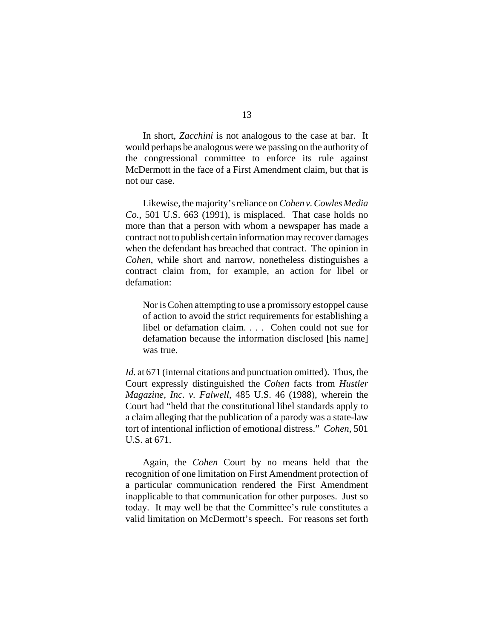In short, *Zacchini* is not analogous to the case at bar. It would perhaps be analogous were we passing on the authority of the congressional committee to enforce its rule against McDermott in the face of a First Amendment claim, but that is not our case.

Likewise, the majority's reliance on *Cohen v. Cowles Media Co.*, 501 U.S. 663 (1991), is misplaced. That case holds no more than that a person with whom a newspaper has made a contract not to publish certain information may recover damages when the defendant has breached that contract. The opinion in *Cohen*, while short and narrow, nonetheless distinguishes a contract claim from, for example, an action for libel or defamation:

Nor is Cohen attempting to use a promissory estoppel cause of action to avoid the strict requirements for establishing a libel or defamation claim. . . . Cohen could not sue for defamation because the information disclosed [his name] was true.

*Id.* at 671 (internal citations and punctuation omitted). Thus, the Court expressly distinguished the *Cohen* facts from *Hustler Magazine, Inc. v. Falwell*, 485 U.S. 46 (1988), wherein the Court had "held that the constitutional libel standards apply to a claim alleging that the publication of a parody was a state-law tort of intentional infliction of emotional distress." *Cohen*, 501 U.S. at 671.

Again, the *Cohen* Court by no means held that the recognition of one limitation on First Amendment protection of a particular communication rendered the First Amendment inapplicable to that communication for other purposes. Just so today. It may well be that the Committee's rule constitutes a valid limitation on McDermott's speech. For reasons set forth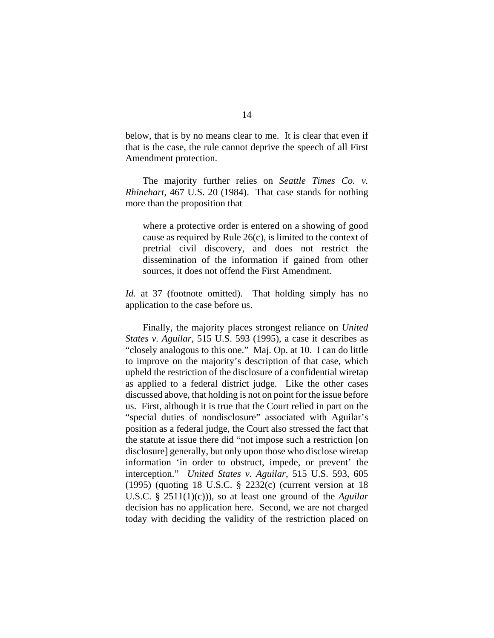below, that is by no means clear to me. It is clear that even if that is the case, the rule cannot deprive the speech of all First Amendment protection.

The majority further relies on *Seattle Times Co. v. Rhinehart*, 467 U.S. 20 (1984). That case stands for nothing more than the proposition that

where a protective order is entered on a showing of good cause as required by Rule 26(c), is limited to the context of pretrial civil discovery, and does not restrict the dissemination of the information if gained from other sources, it does not offend the First Amendment.

*Id.* at 37 (footnote omitted). That holding simply has no application to the case before us.

Finally, the majority places strongest reliance on *United States v. Aguilar*, 515 U.S. 593 (1995), a case it describes as "closely analogous to this one." Maj. Op. at 10. I can do little to improve on the majority's description of that case, which upheld the restriction of the disclosure of a confidential wiretap as applied to a federal district judge. Like the other cases discussed above, that holding is not on point for the issue before us. First, although it is true that the Court relied in part on the "special duties of nondisclosure" associated with Aguilar's position as a federal judge, the Court also stressed the fact that the statute at issue there did "not impose such a restriction [on disclosure] generally, but only upon those who disclose wiretap information 'in order to obstruct, impede, or prevent' the interception." *United States v. Aguilar*, 515 U.S. 593, 605 (1995) (quoting 18 U.S.C. § 2232(c) (current version at 18 U.S.C. § 2511(1)(c))), so at least one ground of the *Aguilar* decision has no application here. Second, we are not charged today with deciding the validity of the restriction placed on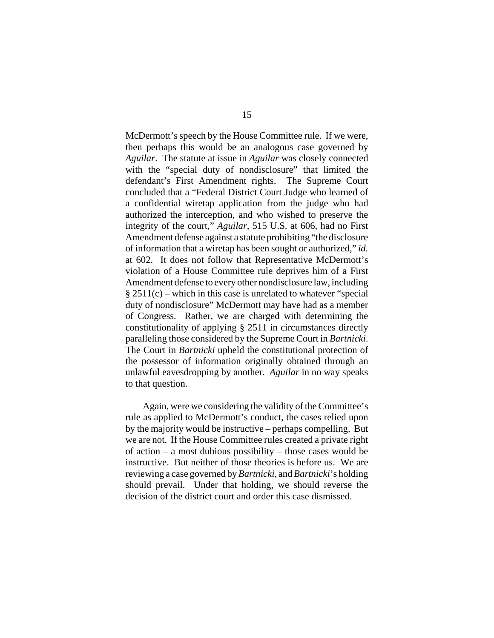McDermott's speech by the House Committee rule. If we were, then perhaps this would be an analogous case governed by *Aguilar*. The statute at issue in *Aguilar* was closely connected with the "special duty of nondisclosure" that limited the defendant's First Amendment rights. The Supreme Court concluded that a "Federal District Court Judge who learned of a confidential wiretap application from the judge who had authorized the interception, and who wished to preserve the integrity of the court," *Aguilar*, 515 U.S. at 606, had no First Amendment defense against a statute prohibiting "the disclosure of information that a wiretap has been sought or authorized," *id.* at 602. It does not follow that Representative McDermott's violation of a House Committee rule deprives him of a First Amendment defense to every other nondisclosure law, including  $§ 2511(c)$  – which in this case is unrelated to whatever "special duty of nondisclosure" McDermott may have had as a member of Congress. Rather, we are charged with determining the constitutionality of applying § 2511 in circumstances directly paralleling those considered by the Supreme Court in *Bartnicki*. The Court in *Bartnicki* upheld the constitutional protection of the possessor of information originally obtained through an unlawful eavesdropping by another. *Aguilar* in no way speaks to that question.

Again, were we considering the validity of the Committee's rule as applied to McDermott's conduct, the cases relied upon by the majority would be instructive – perhaps compelling. But we are not. If the House Committee rules created a private right of action – a most dubious possibility – those cases would be instructive. But neither of those theories is before us. We are reviewing a case governed by *Bartnicki*, and *Bartnicki*'s holding should prevail. Under that holding, we should reverse the decision of the district court and order this case dismissed.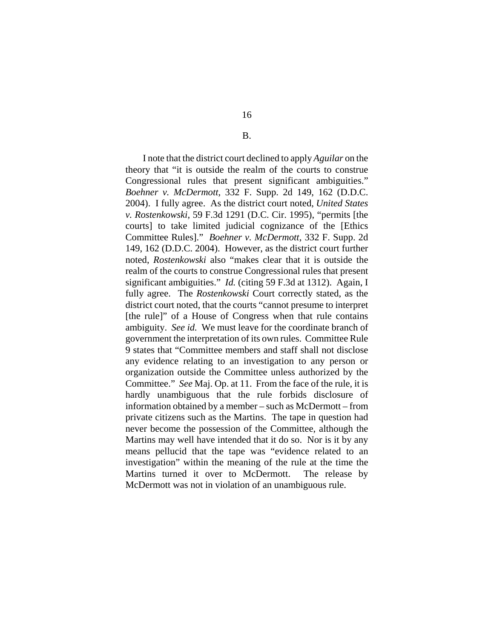I note that the district court declined to apply *Aguilar* on the theory that "it is outside the realm of the courts to construe Congressional rules that present significant ambiguities." *Boehner v. McDermott*, 332 F. Supp. 2d 149, 162 (D.D.C. 2004). I fully agree. As the district court noted, *United States v. Rostenkowski*, 59 F.3d 1291 (D.C. Cir. 1995), "permits [the courts] to take limited judicial cognizance of the [Ethics Committee Rules]." *Boehner v. McDermott*, 332 F. Supp. 2d 149, 162 (D.D.C. 2004). However, as the district court further noted, *Rostenkowski* also "makes clear that it is outside the realm of the courts to construe Congressional rules that present significant ambiguities." *Id.* (citing 59 F.3d at 1312). Again, I fully agree. The *Rostenkowski* Court correctly stated, as the district court noted, that the courts "cannot presume to interpret [the rule]" of a House of Congress when that rule contains ambiguity. *See id.* We must leave for the coordinate branch of government the interpretation of its own rules. Committee Rule 9 states that "Committee members and staff shall not disclose any evidence relating to an investigation to any person or organization outside the Committee unless authorized by the Committee." *See* Maj. Op. at 11. From the face of the rule, it is hardly unambiguous that the rule forbids disclosure of information obtained by a member – such as McDermott – from private citizens such as the Martins. The tape in question had never become the possession of the Committee, although the Martins may well have intended that it do so. Nor is it by any means pellucid that the tape was "evidence related to an investigation" within the meaning of the rule at the time the Martins turned it over to McDermott. The release by McDermott was not in violation of an unambiguous rule.

B.